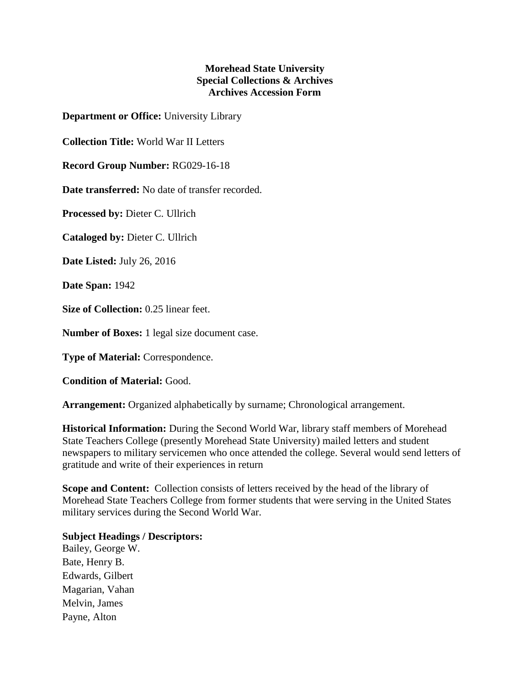## **Morehead State University Special Collections & Archives Archives Accession Form**

**Department or Office:** University Library

**Collection Title:** World War II Letters

**Record Group Number:** RG029-16-18

**Date transferred:** No date of transfer recorded.

**Processed by:** Dieter C. Ullrich

**Cataloged by:** Dieter C. Ullrich

**Date Listed:** July 26, 2016

**Date Span:** 1942

**Size of Collection:** 0.25 linear feet.

**Number of Boxes:** 1 legal size document case.

**Type of Material:** Correspondence.

**Condition of Material:** Good.

**Arrangement:** Organized alphabetically by surname; Chronological arrangement.

**Historical Information:** During the Second World War, library staff members of Morehead State Teachers College (presently Morehead State University) mailed letters and student newspapers to military servicemen who once attended the college. Several would send letters of gratitude and write of their experiences in return

**Scope and Content:** Collection consists of letters received by the head of the library of Morehead State Teachers College from former students that were serving in the United States military services during the Second World War.

## **Subject Headings / Descriptors:**

Bailey, George W. Bate, Henry B. Edwards, Gilbert Magarian, Vahan Melvin, James Payne, Alton